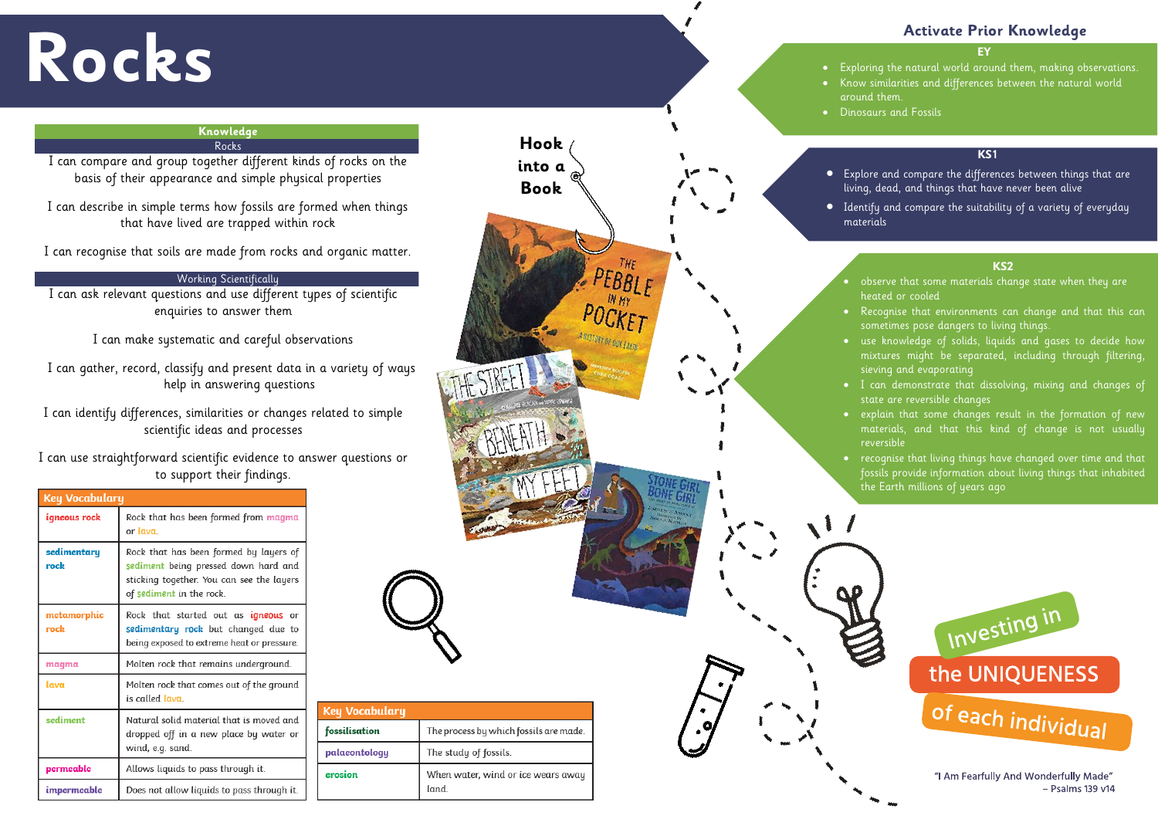# **Rocks**

## **EY**

- 
- 
- 
- 
- 
- 

# **Activate Prior Knowledge**



I can gather, record, classify and present data in a variety of ways help in answering questions

## **Knowledge** Rocks

I can compare and group together different kinds of rocks on the basis of their appearance and simple physical properties

I can describe in simple terms how fossils are formed when things that have lived are trapped within rock

I can recognise that soils are made from rocks and organic matter.

# Working Scientifically

I can ask relevant questions and use different types of scientific enquiries to answer them

I can make systematic and careful observations

I can identify differences, similarities or changes related to simple scientific ideas and processes

I can use straightforward scientific evidence to answer questions or to support their findings.

Key Vocabulary

fossilisation

palaeontology

erosion

| <b>Key Vocabulary</b> |                                                                                                                                                         |  |  |  |
|-----------------------|---------------------------------------------------------------------------------------------------------------------------------------------------------|--|--|--|
| igneous rock          | Rock that has been formed from magma<br>or lava                                                                                                         |  |  |  |
| sedimentary<br>rock   | Rock that has been formed by layers of<br>sediment being pressed down hard and<br>sticking together. You can see the layers<br>of sediment in the rock. |  |  |  |
| metamorphic<br>rock   | Rock that started out as igneous or<br>sedimentary rock but changed due to<br>being exposed to extreme heat or pressure.                                |  |  |  |
| magma                 | Molten rock that remains underground.                                                                                                                   |  |  |  |
| lava                  | Molten rock that comes out of the ground<br>is called lava.                                                                                             |  |  |  |
| sediment              | Natural solid material that is moved and<br>dropped off in a new place by water or<br>wind, e.g. sand.                                                  |  |  |  |
| permeable             | Allows liquids to pass through it.                                                                                                                      |  |  |  |
| impermeable           | Does not allow liquids to pass through it.                                                                                                              |  |  |  |